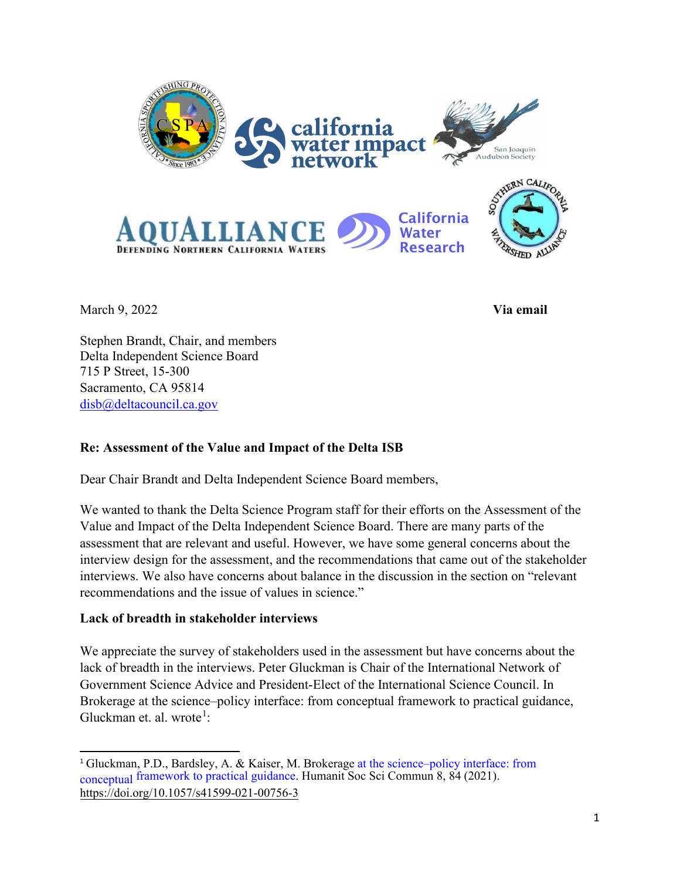

March 9, 2022 **Via email**

Stephen Brandt, Chair, and members Delta Independent Science Board 715 P Street, 15-300 Sacramento, CA 95814 [disb@deltacouncil.ca.gov](https://d.docs.live.net/9218a4dccbb9e5aa/Documents/My%20drafts/disb@deltacouncil.ca.gov)

# **Re: Assessment of the Value and Impact of the Delta ISB**

Dear Chair Brandt and Delta Independent Science Board members,

We wanted to thank the Delta Science Program staff for their efforts on the Assessment of the Value and Impact of the Delta Independent Science Board. There are many parts of the assessment that are relevant and useful. However, we have some general concerns about the interview design for the assessment, and the recommendations that came out of the stakeholder interviews. We also have concerns about balance in the discussion in the section on "relevant recommendations and the issue of values in science."

# **Lack of breadth in stakeholder interviews**

We appreciate the survey of stakeholders used in the assessment but have concerns about the lack of breadth in the interviews. Peter Gluckman is Chair of the International Network of Government Science Advice and President-Elect of the International Science Council. In Brokerage at the science–policy interface: from conceptual framework to practical guidance, Gluckman et. al. wrote<sup>[1](#page-0-0)</sup>:

<span id="page-0-0"></span><sup>1</sup> [Gluckman, P.D., Bardsley, A. & Kaiser, M. Brokerage at the science–policy interface: from](https://doi.org/10.1057/s41599-021-00756-3) conceptual framework to practical guidance. Humanit Soc Sci Commun 8, 84 (2021). https://doi.org/10.1057/s41599-021-00756-3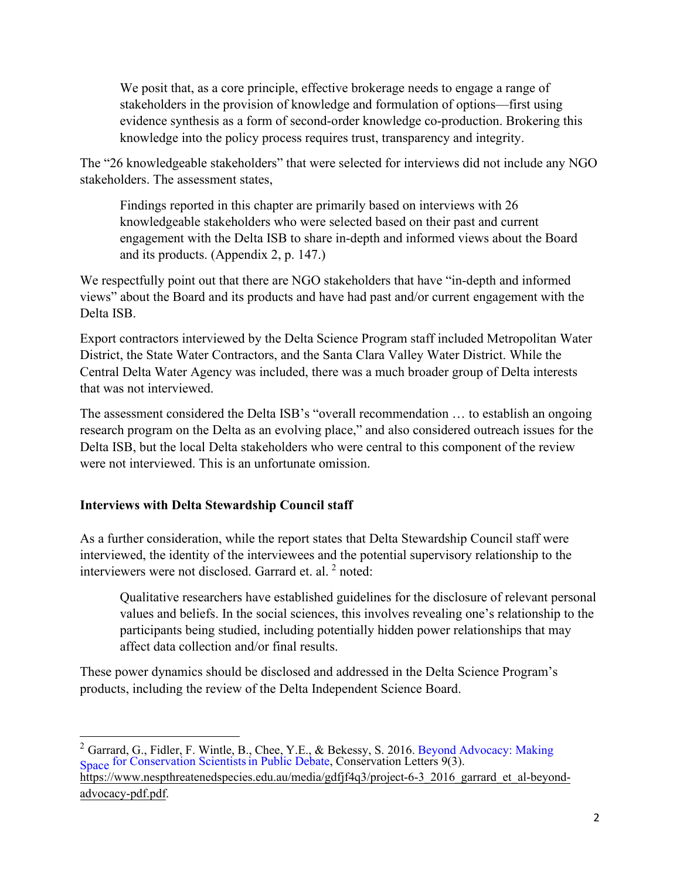We posit that, as a core principle, effective brokerage needs to engage a range of stakeholders in the provision of knowledge and formulation of options—first using evidence synthesis as a form of second-order knowledge co-production. Brokering this knowledge into the policy process requires trust, transparency and integrity.

The "26 knowledgeable stakeholders" that were selected for interviews did not include any NGO stakeholders. The assessment states,

Findings reported in this chapter are primarily based on interviews with 26 knowledgeable stakeholders who were selected based on their past and current engagement with the Delta ISB to share in-depth and informed views about the Board and its products. (Appendix 2, p. 147.)

We respectfully point out that there are NGO stakeholders that have "in-depth and informed views" about the Board and its products and have had past and/or current engagement with the Delta ISB.

Export contractors interviewed by the Delta Science Program staff included Metropolitan Water District, the State Water Contractors, and the Santa Clara Valley Water District. While the Central Delta Water Agency was included, there was a much broader group of Delta interests that was not interviewed.

The assessment considered the Delta ISB's "overall recommendation … to establish an ongoing research program on the Delta as an evolving place," and also considered outreach issues for the Delta ISB, but the local Delta stakeholders who were central to this component of the review were not interviewed. This is an unfortunate omission.

## **Interviews with Delta Stewardship Council staff**

As a further consideration, while the report states that Delta Stewardship Council staff were interviewed, the identity of the interviewees and the potential supervisory relationship to the interviewers were not disclosed. Garrard et. al. <sup>[2](#page-1-0)</sup> noted:

Qualitative researchers have established guidelines for the disclosure of relevant personal values and beliefs. In the social sciences, this involves revealing one's relationship to the participants being studied, including potentially hidden power relationships that may affect data collection and/or final results.

These power dynamics should be disclosed and addressed in the Delta Science Program's products, including the review of the Delta Independent Science Board.

<span id="page-1-0"></span><sup>&</sup>lt;sup>2</sup> Garrard, G., Fidler, F. Wintle, B., Chee, Y.E., & Bekessy, S. 2016. Beyond Advocacy: Making Space for Conservation Scientists in Public Debate, Conservation Letters 9(3). https://www.nespthreatenedspecies.edu.au/media/gdfjf4q3/project-6-3\_2016\_garrard\_et\_al-beyond[advocacy-pdf.pdf.](https://www.nespthreatenedspecies.edu.au/media/gdfjf4q3/project-6-3_2016_garrard_et_al-beyond-advocacy-pdf.pdf)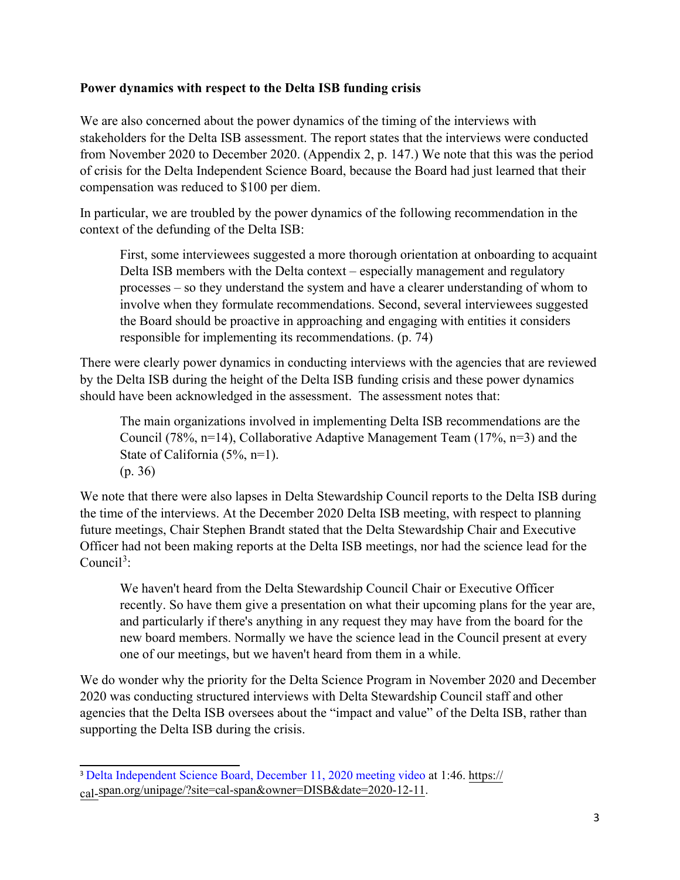## **Power dynamics with respect to the Delta ISB funding crisis**

We are also concerned about the power dynamics of the timing of the interviews with stakeholders for the Delta ISB assessment. The report states that the interviews were conducted from November 2020 to December 2020. (Appendix 2, p. 147.) We note that this was the period of crisis for the Delta Independent Science Board, because the Board had just learned that their compensation was reduced to \$100 per diem.

In particular, we are troubled by the power dynamics of the following recommendation in the context of the defunding of the Delta ISB:

First, some interviewees suggested a more thorough orientation at onboarding to acquaint Delta ISB members with the Delta context – especially management and regulatory processes – so they understand the system and have a clearer understanding of whom to involve when they formulate recommendations. Second, several interviewees suggested the Board should be proactive in approaching and engaging with entities it considers responsible for implementing its recommendations. (p. 74)

There were clearly power dynamics in conducting interviews with the agencies that are reviewed by the Delta ISB during the height of the Delta ISB funding crisis and these power dynamics should have been acknowledged in the assessment. The assessment notes that:

The main organizations involved in implementing Delta ISB recommendations are the Council (78%, n=14), Collaborative Adaptive Management Team (17%, n=3) and the State of California (5%, n=1). (p. 36)

We note that there were also lapses in Delta Stewardship Council reports to the Delta ISB during the time of the interviews. At the December 2020 Delta ISB meeting, with respect to planning future meetings, Chair Stephen Brandt stated that the Delta Stewardship Chair and Executive Officer had not been making reports at the Delta ISB meetings, nor had the science lead for the Council<sup>[3](#page-2-0)</sup>:

We haven't heard from the Delta Stewardship Council Chair or Executive Officer recently. So have them give a presentation on what their upcoming plans for the year are, and particularly if there's anything in any request they may have from the board for the new board members. Normally we have the science lead in the Council present at every one of our meetings, but we haven't heard from them in a while.

We do wonder why the priority for the Delta Science Program in November 2020 and December 2020 was conducting structured interviews with Delta Stewardship Council staff and other agencies that the Delta ISB oversees about the "impact and value" of the Delta ISB, rather than supporting the Delta ISB during the crisis.

<span id="page-2-0"></span><sup>3</sup> [Delta Independent Science Board, December 11, 2020 meeting video](https://cal-span.org/unipage/?site=cal-span&owner=DISB&date=2020-12-11) at 1:46. https:// cal-[span.org/unipage/?site=cal-span&owner=DISB&date=2020-12](https://cal-span.org/unipage/?site=cal-span&owner=DISB&date=2020-12-11)-11.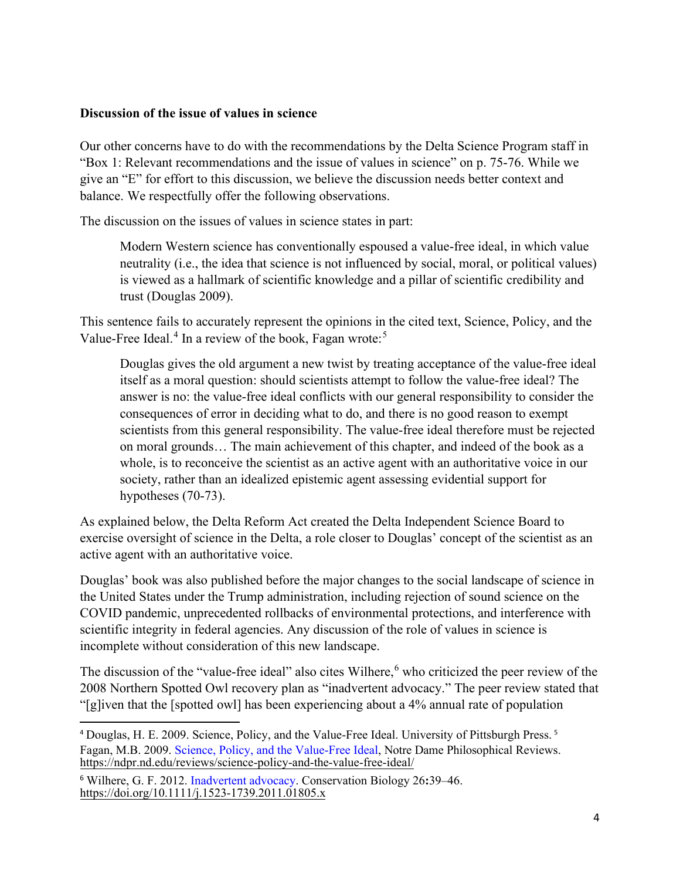#### **Discussion of the issue of values in science**

Our other concerns have to do with the recommendations by the Delta Science Program staff in "Box 1: Relevant recommendations and the issue of values in science" on p. 75-76. While we give an "E" for effort to this discussion, we believe the discussion needs better context and balance. We respectfully offer the following observations.

The discussion on the issues of values in science states in part:

Modern Western science has conventionally espoused a value-free ideal, in which value neutrality (i.e., the idea that science is not influenced by social, moral, or political values) is viewed as a hallmark of scientific knowledge and a pillar of scientific credibility and trust (Douglas 2009).

This sentence fails to accurately represent the opinions in the cited text, Science, Policy, and the Value-Free Ideal.<sup>[4](#page-3-0)</sup> In a review of the book, Fagan wrote:<sup>[5](#page-3-1)</sup>

Douglas gives the old argument a new twist by treating acceptance of the value-free ideal itself as a moral question: should scientists attempt to follow the value-free ideal? The answer is no: the value-free ideal conflicts with our general responsibility to consider the consequences of error in deciding what to do, and there is no good reason to exempt scientists from this general responsibility. The value-free ideal therefore must be rejected on moral grounds… The main achievement of this chapter, and indeed of the book as a whole, is to reconceive the scientist as an active agent with an authoritative voice in our society, rather than an idealized epistemic agent assessing evidential support for hypotheses (70-73).

As explained below, the Delta Reform Act created the Delta Independent Science Board to exercise oversight of science in the Delta, a role closer to Douglas' concept of the scientist as an active agent with an authoritative voice.

Douglas' book was also published before the major changes to the social landscape of science in the United States under the Trump administration, including rejection of sound science on the COVID pandemic, unprecedented rollbacks of environmental protections, and interference with scientific integrity in federal agencies. Any discussion of the role of values in science is incomplete without consideration of this new landscape.

The discussion of the "value-free ideal" also cites Wilhere, <sup>[6](#page-3-2)</sup> who criticized the peer review of the 2008 Northern Spotted Owl recovery plan as "inadvertent advocacy." The peer review stated that "[g]iven that the [spotted owl] has been experiencing about a 4% annual rate of population

<span id="page-3-1"></span><span id="page-3-0"></span><sup>4</sup> Douglas, H. E. 2009. Science, Policy, and the Value-Free Ideal. University of Pittsburgh Press. <sup>5</sup> Fagan, M.B. 2009. [Science, Policy, and the Value-Free Ideal,](https://ndpr.nd.edu/reviews/science-policy-and-the-value-free-ideal/) Notre Dame Philosophical Reviews. https://ndpr.nd.edu/reviews/science-policy-and-the-value-free-ideal/

<span id="page-3-2"></span><sup>6</sup> Wilhere, G. F. 2012. [Inadvertent advocacy.](https://doi.org/10.1111/j.1523-1739.2011.01805.x) Conservation Biology 26**:**39–46. https://doi.org/10.1111/j.1523-1739.2011.01805.x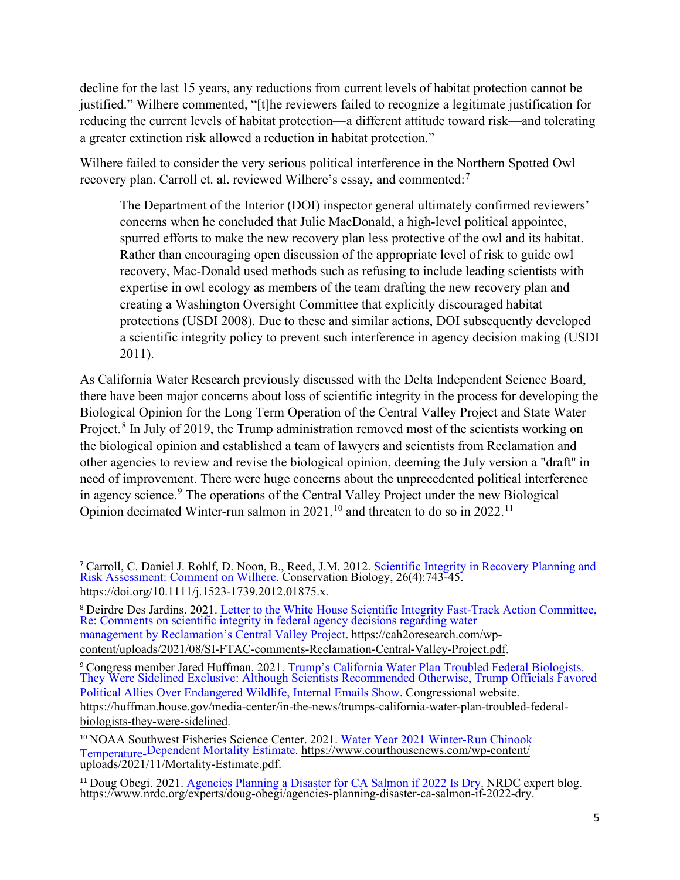decline for the last 15 years, any reductions from current levels of habitat protection cannot be justified." Wilhere commented, "[t]he reviewers failed to recognize a legitimate justification for reducing the current levels of habitat protection—a different attitude toward risk—and tolerating a greater extinction risk allowed a reduction in habitat protection."

Wilhere failed to consider the very serious political interference in the Northern Spotted Owl recovery plan. Carroll et. al. reviewed Wilhere's essay, and commented:<sup>[7](#page-4-0)</sup>

The Department of the Interior (DOI) inspector general ultimately confirmed reviewers' concerns when he concluded that Julie MacDonald, a high-level political appointee, spurred efforts to make the new recovery plan less protective of the owl and its habitat. Rather than encouraging open discussion of the appropriate level of risk to guide owl recovery, Mac-Donald used methods such as refusing to include leading scientists with expertise in owl ecology as members of the team drafting the new recovery plan and creating a Washington Oversight Committee that explicitly discouraged habitat protections (USDI 2008). Due to these and similar actions, DOI subsequently developed a scientific integrity policy to prevent such interference in agency decision making (USDI 2011).

As California Water Research previously discussed with the Delta Independent Science Board, there have been major concerns about loss of scientific integrity in the process for developing the Biological Opinion for the Long Term Operation of the Central Valley Project and State Water Project.<sup>[8](#page-4-1)</sup> In July of 2019, the Trump administration removed most of the scientists working on the biological opinion and established a team of lawyers and scientists from Reclamation and other agencies to review and revise the biological opinion, deeming the July version a "draft'' in need of improvement. There were huge concerns about the unprecedented political interference in agency science.<sup>[9](#page-4-2)</sup> The operations of the Central Valley Project under the new Biological Opinion decimated Winter-run salmon in  $2021$ ,<sup>10</sup> and threaten to do so in  $2022$ .<sup>[11](#page-4-4)</sup>

<span id="page-4-0"></span><sup>7</sup> [Carroll, C. Daniel J. Rohlf, D. Noon, B., Reed, J.M. 2012. Scientific Integrity in Recovery Planning and](https://doi.org/10.1111/j.1523-1739.2012.01875.x)  Risk Assessment: Comment on Wilhere. Conservation Biology, 26(4):743-45. https://doi.org/10.1111/j.1523-1739.2012.01875.x.

<span id="page-4-1"></span><sup>8</sup> [Deirdre Des Jardins. 2021. Letter to the White House Scientific Integrity Fast-Track Action Committee,](https://cah2oresearch.com/wp-content/uploads/2021/08/SI-FTAC-comments-Reclamation-Central-Valley-Project.pdf)  Re: Comments on scientific integrity in federal agency decisions regarding water management by Reclamation's Central Valley Project. https://cah2oresearch.com/wp[content/uploads/2021/08/SI-FTAC-comments-Reclamation-Central-Valley-Project.pdf.](https://cah2oresearch.com/wp-content/uploads/2021/08/SI-FTAC-comments-Reclamation-Central-Valley-Project.pdf)

<span id="page-4-2"></span><sup>9</sup> Congress member Jared Huffman. 2021. Trump's California Water Plan Troubled Federal Biologists. [They Were Sidelined Exclusive: Although Scientists Recommended Otherwise, Trump Officials Favored](https://huffman.house.gov/media-center/in-the-news/trumps-california-water-plan-troubled-federal-biologists-they-were-sidelined)  Political Allies Over Endangered Wildlife, Internal Emails Show. Congressional website. https://huffman.house.gov/media-center/in-the-news/trumps-california-water-plan-troubled-federal[biologists-they-were-sidelined.](https://huffman.house.gov/media-center/in-the-news/trumps-california-water-plan-troubled-federal-biologists-they-were-sidelined)

<span id="page-4-3"></span><sup>&</sup>lt;sup>10</sup> NOAA Southwest Fisheries Science Center. 2021. Water Year 2021 Winter-Run Chinook Temperature-Dependent Mort[ality Estimate. https://www.courthousenews.com/wp-content/](https://www.courthousenews.com/wp-content/uploads/2021/11/Mortality-Estimate.pdf) [uploads/2021](https://www.courthousenews.com/wp-content/uploads/2021/11/Mortality-Estimate.pdf)/11/Mortality-Estimate.pdf.

<span id="page-4-4"></span><sup>&</sup>lt;sup>11</sup> Doug Obegi. 2021. [Agencies Planning a Disaster for CA Salmon if 2022 Is Dry.](https://www.nrdc.org/experts/doug-obegi/agencies-planning-disaster-ca-salmon-if-2022-dry) NRDC expert blog. https://www.nrdc.org/experts/doug-obegi/agencies-planning-disaster-ca-salmon-if-2022-dry.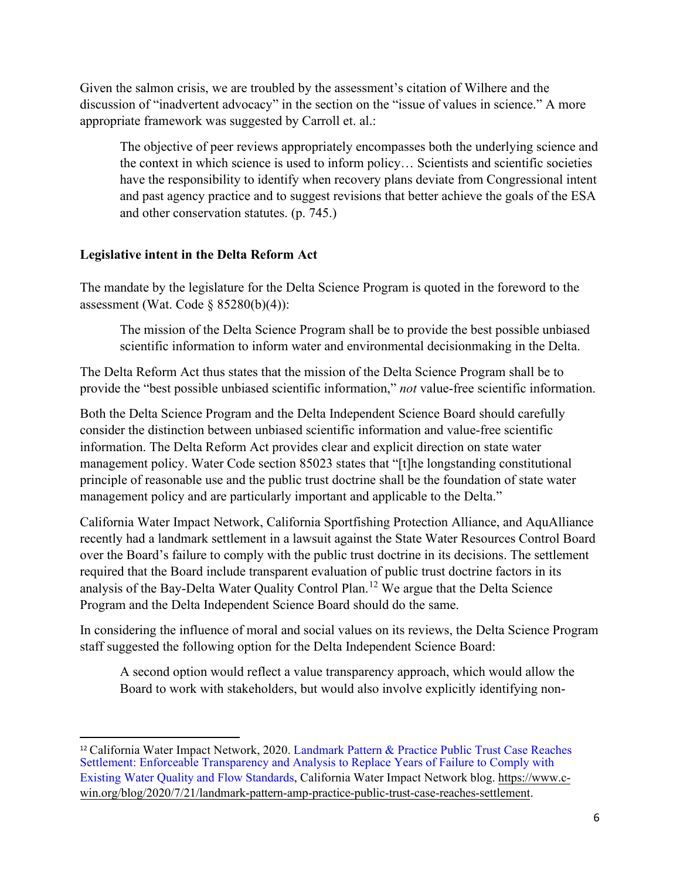Given the salmon crisis, we are troubled by the assessment's citation of Wilhere and the discussion of "inadvertent advocacy" in the section on the "issue of values in science." A more appropriate framework was suggested by Carroll et. al.:

The objective of peer reviews appropriately encompasses both the underlying science and the context in which science is used to inform policy… Scientists and scientific societies have the responsibility to identify when recovery plans deviate from Congressional intent and past agency practice and to suggest revisions that better achieve the goals of the ESA and other conservation statutes. (p. 745.)

## **Legislative intent in the Delta Reform Act**

The mandate by the legislature for the Delta Science Program is quoted in the foreword to the assessment (Wat. Code  $\S$  85280(b)(4)):

The mission of the Delta Science Program shall be to provide the best possible unbiased scientific information to inform water and environmental decisionmaking in the Delta.

The Delta Reform Act thus states that the mission of the Delta Science Program shall be to provide the "best possible unbiased scientific information," *not* value-free scientific information.

Both the Delta Science Program and the Delta Independent Science Board should carefully consider the distinction between unbiased scientific information and value-free scientific information. The Delta Reform Act provides clear and explicit direction on state water management policy. Water Code section 85023 states that "[t]he longstanding constitutional principle of reasonable use and the public trust doctrine shall be the foundation of state water management policy and are particularly important and applicable to the Delta."

California Water Impact Network, California Sportfishing Protection Alliance, and AquAlliance recently had a landmark settlement in a lawsuit against the State Water Resources Control Board over the Board's failure to comply with the public trust doctrine in its decisions. The settlement required that the Board include transparent evaluation of public trust doctrine factors in its analysis of the Bay-Delta Water Quality Control Plan.[12](#page-5-0) We argue that the Delta Science Program and the Delta Independent Science Board should do the same.

In considering the influence of moral and social values on its reviews, the Delta Science Program staff suggested the following option for the Delta Independent Science Board:

A second option would reflect a value transparency approach, which would allow the Board to work with stakeholders, but would also involve explicitly identifying non-

<span id="page-5-0"></span><sup>&</sup>lt;sup>12</sup> California Water Impact Network, 2020. Landmark Pattern & Practice Public Trust Case Reaches [Settlement: Enforceable Transparency and Analysis to Replace Years of Failure to Comply with](https://www.c-win.org/blog/2020/7/21/landmark-pattern-amp-practice-public-trust-case-reaches-settlement)  Existing Water Quality and Flow Standards, California Water Impact Network blog. https://www.c[win.org/blog/2020/7/21/landmark-pattern-amp-practice-public-trust-case-reaches-settlement.](https://www.c-win.org/blog/2020/7/21/landmark-pattern-amp-practice-public-trust-case-reaches-settlement)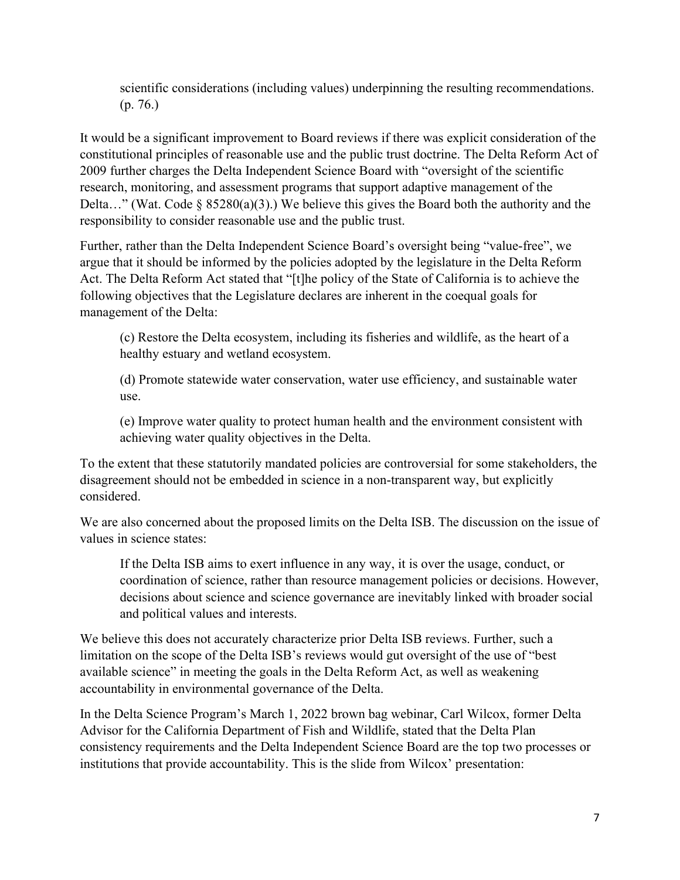scientific considerations (including values) underpinning the resulting recommendations. (p. 76.)

It would be a significant improvement to Board reviews if there was explicit consideration of the constitutional principles of reasonable use and the public trust doctrine. The Delta Reform Act of 2009 further charges the Delta Independent Science Board with "oversight of the scientific research, monitoring, and assessment programs that support adaptive management of the Delta…" (Wat. Code § 85280(a)(3).) We believe this gives the Board both the authority and the responsibility to consider reasonable use and the public trust.

Further, rather than the Delta Independent Science Board's oversight being "value-free", we argue that it should be informed by the policies adopted by the legislature in the Delta Reform Act. The Delta Reform Act stated that "[t]he policy of the State of California is to achieve the following objectives that the Legislature declares are inherent in the coequal goals for management of the Delta:

(c) Restore the Delta ecosystem, including its fisheries and wildlife, as the heart of a healthy estuary and wetland ecosystem.

(d) Promote statewide water conservation, water use efficiency, and sustainable water use.

(e) Improve water quality to protect human health and the environment consistent with achieving water quality objectives in the Delta.

To the extent that these statutorily mandated policies are controversial for some stakeholders, the disagreement should not be embedded in science in a non-transparent way, but explicitly considered.

We are also concerned about the proposed limits on the Delta ISB. The discussion on the issue of values in science states:

If the Delta ISB aims to exert influence in any way, it is over the usage, conduct, or coordination of science, rather than resource management policies or decisions. However, decisions about science and science governance are inevitably linked with broader social and political values and interests.

We believe this does not accurately characterize prior Delta ISB reviews. Further, such a limitation on the scope of the Delta ISB's reviews would gut oversight of the use of "best available science" in meeting the goals in the Delta Reform Act, as well as weakening accountability in environmental governance of the Delta.

In the Delta Science Program's March 1, 2022 brown bag webinar, Carl Wilcox, former Delta Advisor for the California Department of Fish and Wildlife, stated that the Delta Plan consistency requirements and the Delta Independent Science Board are the top two processes or institutions that provide accountability. This is the slide from Wilcox' presentation: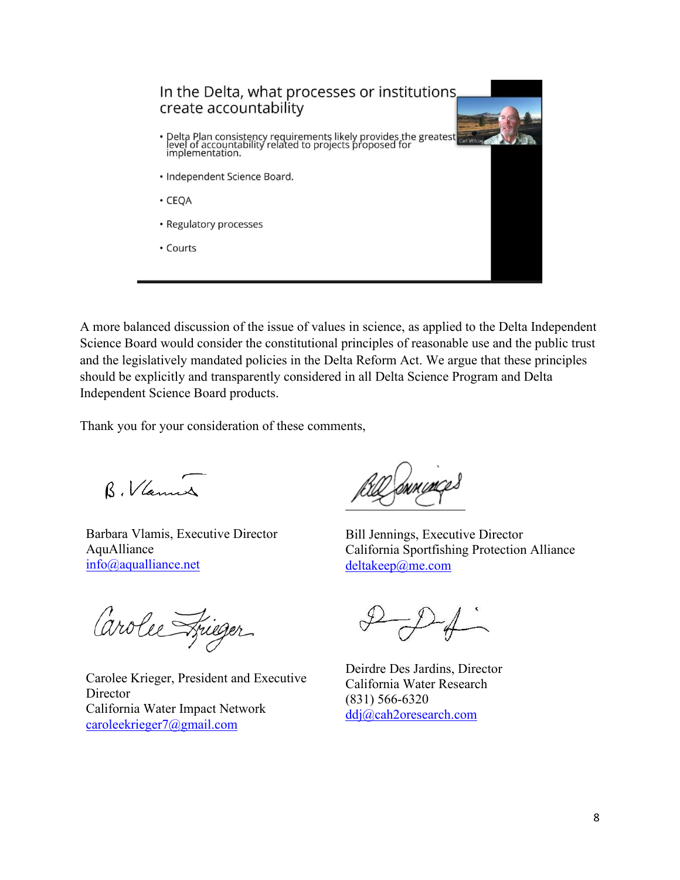

A more balanced discussion of the issue of values in science, as applied to the Delta Independent Science Board would consider the constitutional principles of reasonable use and the public trust and the legislatively mandated policies in the Delta Reform Act. We argue that these principles should be explicitly and transparently considered in all Delta Science Program and Delta Independent Science Board products.

Thank you for your consideration of these comments,

B. Vlannes

Barbara Vlamis, Executive Director AquAlliance [info@aqualliance.net](mailto:info@aqualliance.net)

Carolee Frieger

Carolee Krieger, President and Executive **Director** California Water Impact Network [caroleekrieger7@gmail.com](mailto:caroleekrieger7@gmail.com)

hvumçe

Bill Jennings, Executive Director California Sportfishing Protection Alliance [deltakeep@me.com](mailto:deltakeep@me.com)

Deirdre Des Jardins, Director California Water Research (831) 566-6320 [ddj@cah2oresearch.com](mailto:ddj@cah2oresearch.com)